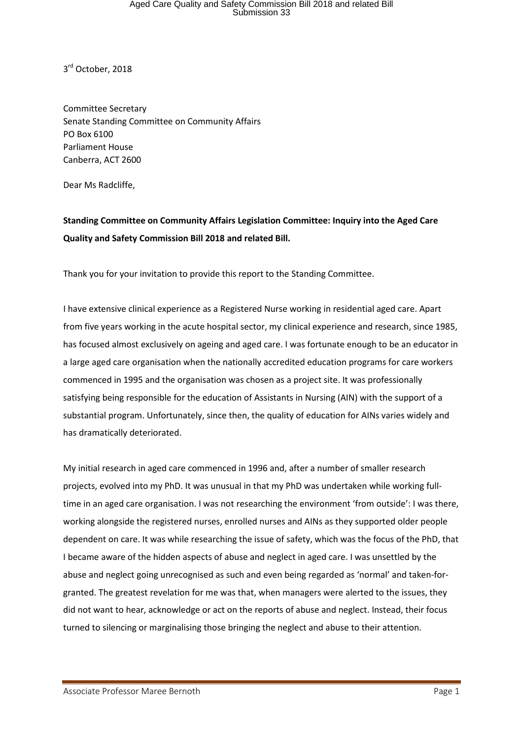### Aged Care Quality and Safety Commission Bill 2018 and related Bill Submission 33

3<sup>rd</sup> October, 2018

Committee Secretary Senate Standing Committee on Community Affairs PO Box 6100 Parliament House Canberra, ACT 2600

Dear Ms Radcliffe,

#### **Standing Committee on Community Affairs Legislation Committee: Inquiry into the Aged Care Quality and Safety Commission Bill 2018 and related Bill.**

Thank you for your invitation to provide this report to the Standing Committee.

I have extensive clinical experience as a Registered Nurse working in residential aged care. Apart from five years working in the acute hospital sector, my clinical experience and research, since 1985, has focused almost exclusively on ageing and aged care. I was fortunate enough to be an educator in a large aged care organisation when the nationally accredited education programs for care workers commenced in 1995 and the organisation was chosen as a project site. It was professionally satisfying being responsible for the education of Assistants in Nursing (AIN) with the support of a substantial program. Unfortunately, since then, the quality of education for AINs varies widely and has dramatically deteriorated.

My initial research in aged care commenced in 1996 and, after a number of smaller research projects, evolved into my PhD. It was unusual in that my PhD was undertaken while working fulltime in an aged care organisation. I was not researching the environment 'from outside': I was there, working alongside the registered nurses, enrolled nurses and AINs as they supported older people dependent on care. It was while researching the issue of safety, which was the focus of the PhD, that I became aware of the hidden aspects of abuse and neglect in aged care. I was unsettled by the abuse and neglect going unrecognised as such and even being regarded as 'normal' and taken-forgranted. The greatest revelation for me was that, when managers were alerted to the issues, they did not want to hear, acknowledge or act on the reports of abuse and neglect. Instead, their focus turned to silencing or marginalising those bringing the neglect and abuse to their attention.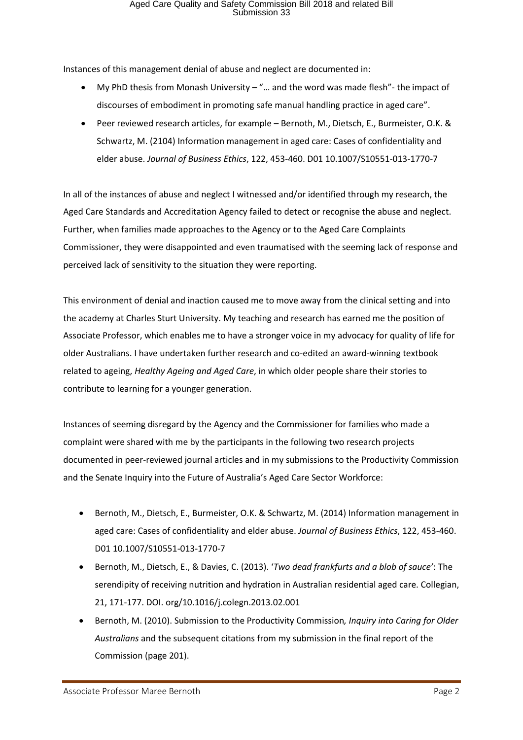Instances of this management denial of abuse and neglect are documented in:

- My PhD thesis from Monash University "... and the word was made flesh"- the impact of discourses of embodiment in promoting safe manual handling practice in aged care".
- Peer reviewed research articles, for example Bernoth, M., Dietsch, E., Burmeister, O.K. & Schwartz, M. (2104) Information management in aged care: Cases of confidentiality and elder abuse. *Journal of Business Ethics*, 122, 453-460. D01 10.1007/S10551-013-1770-7

In all of the instances of abuse and neglect I witnessed and/or identified through my research, the Aged Care Standards and Accreditation Agency failed to detect or recognise the abuse and neglect. Further, when families made approaches to the Agency or to the Aged Care Complaints Commissioner, they were disappointed and even traumatised with the seeming lack of response and perceived lack of sensitivity to the situation they were reporting.

This environment of denial and inaction caused me to move away from the clinical setting and into the academy at Charles Sturt University. My teaching and research has earned me the position of Associate Professor, which enables me to have a stronger voice in my advocacy for quality of life for older Australians. I have undertaken further research and co-edited an award-winning textbook related to ageing, *Healthy Ageing and Aged Care*, in which older people share their stories to contribute to learning for a younger generation.

Instances of seeming disregard by the Agency and the Commissioner for families who made a complaint were shared with me by the participants in the following two research projects documented in peer-reviewed journal articles and in my submissions to the Productivity Commission and the Senate Inquiry into the Future of Australia's Aged Care Sector Workforce:

- Bernoth, M., Dietsch, E., Burmeister, O.K. & Schwartz, M. (2014) Information management in aged care: Cases of confidentiality and elder abuse. *Journal of Business Ethics*, 122, 453-460. D01 10.1007/S10551-013-1770-7
- Bernoth, M., Dietsch, E., & Davies, C. (2013). '*Two dead frankfurts and a blob of sauce'*: The serendipity of receiving nutrition and hydration in Australian residential aged care. Collegian, 21, 171-177. DOI. org/10.1016/j.colegn.2013.02.001
- Bernoth, M. (2010). Submission to the Productivity Commission*, Inquiry into Caring for Older Australians* and the subsequent citations from my submission in the final report of the Commission (page 201).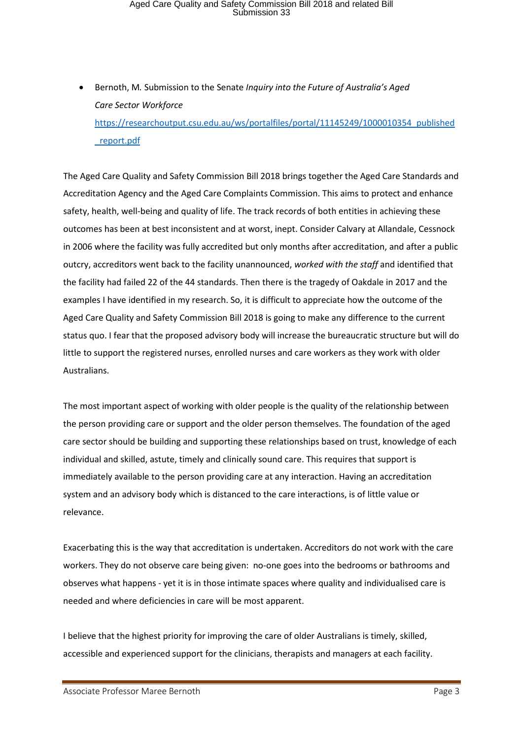# Aged Care Quality and Safety Commission Bill 2018 and related Bill Submission 33

• Bernoth, M*.* Submission to the Senate *Inquiry into the Future of Australia's Aged Care Sector Workforce* [https://researchoutput.csu.edu.au/ws/portalfiles/portal/11145249/1000010354\\_published](https://researchoutput.csu.edu.au/ws/portalfiles/portal/11145249/1000010354_published_report.pdf) [\\_report.pdf](https://researchoutput.csu.edu.au/ws/portalfiles/portal/11145249/1000010354_published_report.pdf)

The Aged Care Quality and Safety Commission Bill 2018 brings together the Aged Care Standards and Accreditation Agency and the Aged Care Complaints Commission. This aims to protect and enhance safety, health, well-being and quality of life. The track records of both entities in achieving these outcomes has been at best inconsistent and at worst, inept. Consider Calvary at Allandale, Cessnock in 2006 where the facility was fully accredited but only months after accreditation, and after a public outcry, accreditors went back to the facility unannounced, *worked with the staff* and identified that the facility had failed 22 of the 44 standards. Then there is the tragedy of Oakdale in 2017 and the examples I have identified in my research. So, it is difficult to appreciate how the outcome of the Aged Care Quality and Safety Commission Bill 2018 is going to make any difference to the current status quo. I fear that the proposed advisory body will increase the bureaucratic structure but will do little to support the registered nurses, enrolled nurses and care workers as they work with older Australians.

The most important aspect of working with older people is the quality of the relationship between the person providing care or support and the older person themselves. The foundation of the aged care sector should be building and supporting these relationships based on trust, knowledge of each individual and skilled, astute, timely and clinically sound care. This requires that support is immediately available to the person providing care at any interaction. Having an accreditation system and an advisory body which is distanced to the care interactions, is of little value or relevance.

Exacerbating this is the way that accreditation is undertaken. Accreditors do not work with the care workers. They do not observe care being given: no-one goes into the bedrooms or bathrooms and observes what happens - yet it is in those intimate spaces where quality and individualised care is needed and where deficiencies in care will be most apparent.

I believe that the highest priority for improving the care of older Australians is timely, skilled, accessible and experienced support for the clinicians, therapists and managers at each facility.